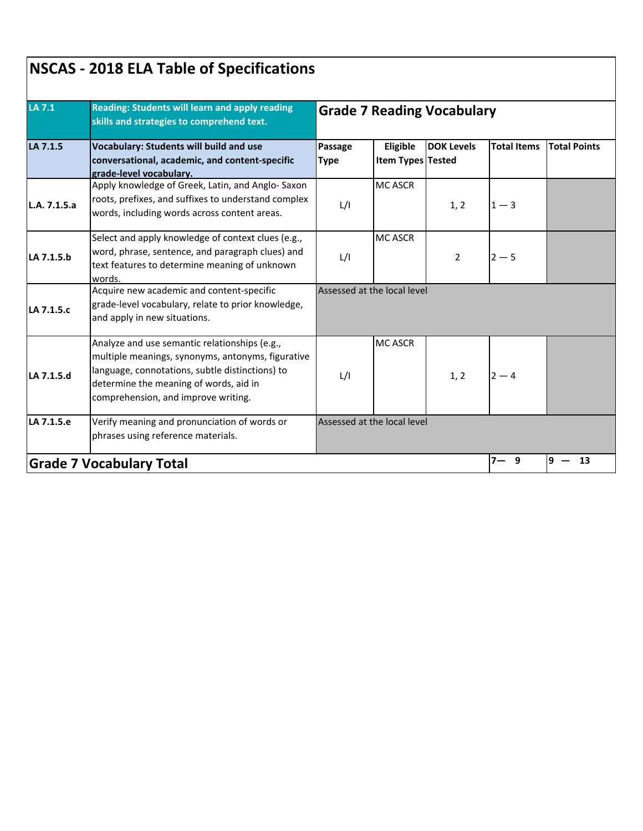|              | Reading: Students will learn and apply reading<br>skills and strategies to comprehend text.<br><b>Vocabulary: Students will build and use</b><br>conversational, academic, and content-specific<br>grade-level vocabulary.             | <b>Grade 7 Reading Vocabulary</b> |                               |                   |                    |                     |  |  |
|--------------|----------------------------------------------------------------------------------------------------------------------------------------------------------------------------------------------------------------------------------------|-----------------------------------|-------------------------------|-------------------|--------------------|---------------------|--|--|
| LA 7.1.5     |                                                                                                                                                                                                                                        | Passage<br><b>Type</b>            | Eligible<br>Item Types Tested | <b>DOK Levels</b> | <b>Total Items</b> | <b>Total Points</b> |  |  |
| L.A. 7.1.5.a | Apply knowledge of Greek, Latin, and Anglo-Saxon<br>roots, prefixes, and suffixes to understand complex<br>words, including words across content areas.                                                                                | L/I                               | <b>MC ASCR</b>                | 1, 2              | $1 - 3$            |                     |  |  |
| LA 7.1.5.b   | Select and apply knowledge of context clues (e.g.,<br>word, phrase, sentence, and paragraph clues) and<br>text features to determine meaning of unknown<br>words.                                                                      | L/I                               | <b>MC ASCR</b>                | $\overline{2}$    | $2 - 5$            |                     |  |  |
| LA 7.1.5.c   | Acquire new academic and content-specific<br>grade-level vocabulary, relate to prior knowledge,<br>and apply in new situations.                                                                                                        |                                   | Assessed at the local level   |                   |                    |                     |  |  |
| LA 7.1.5.d   | Analyze and use semantic relationships (e.g.,<br>multiple meanings, synonyms, antonyms, figurative<br>language, connotations, subtle distinctions) to<br>determine the meaning of words, aid in<br>comprehension, and improve writing. | L/I                               | <b>MC ASCR</b>                | 1, 2              | $2 - 4$            |                     |  |  |
| LA 7.1.5.e   | Verify meaning and pronunciation of words or<br>phrases using reference materials.                                                                                                                                                     |                                   | Assessed at the local level   |                   |                    |                     |  |  |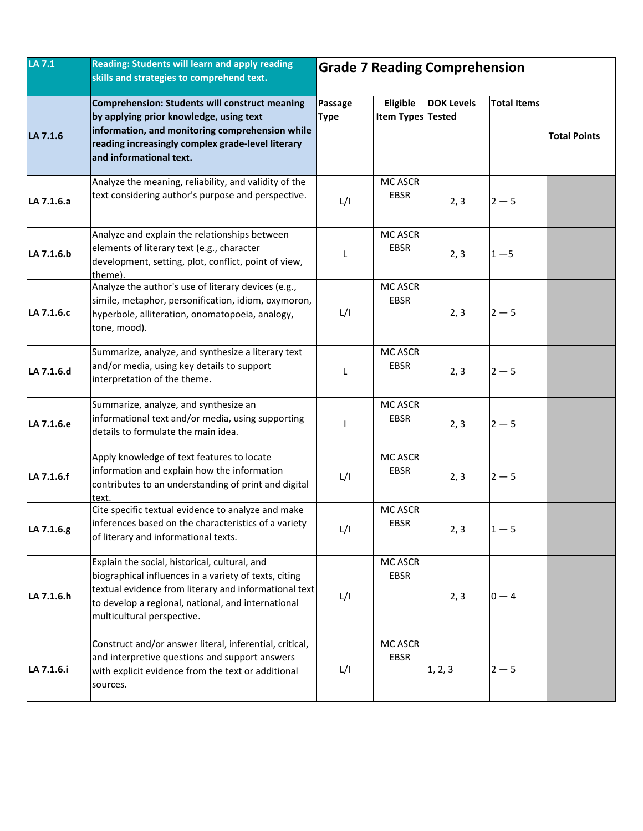| LA 7.1     | Reading: Students will learn and apply reading<br>skills and strategies to comprehend text.                                                                                                                                                         | <b>Grade 7 Reading Comprehension</b> |                                      |                   |                    |                     |
|------------|-----------------------------------------------------------------------------------------------------------------------------------------------------------------------------------------------------------------------------------------------------|--------------------------------------|--------------------------------------|-------------------|--------------------|---------------------|
| LA 7.1.6   | <b>Comprehension: Students will construct meaning</b><br>by applying prior knowledge, using text<br>information, and monitoring comprehension while<br>reading increasingly complex grade-level literary<br>and informational text.                 | Passage<br><b>Type</b>               | Eligible<br><b>Item Types Tested</b> | <b>DOK Levels</b> | <b>Total Items</b> | <b>Total Points</b> |
| LA 7.1.6.a | Analyze the meaning, reliability, and validity of the<br>text considering author's purpose and perspective.                                                                                                                                         | L/I                                  | MC ASCR<br>EBSR                      | 2, 3              | $2 - 5$            |                     |
| LA 7.1.6.b | Analyze and explain the relationships between<br>elements of literary text (e.g., character<br>development, setting, plot, conflict, point of view,<br>theme).                                                                                      | L                                    | MC ASCR<br><b>EBSR</b>               | 2, 3              | $1 - 5$            |                     |
| LA 7.1.6.c | Analyze the author's use of literary devices (e.g.,<br>simile, metaphor, personification, idiom, oxymoron,<br>hyperbole, alliteration, onomatopoeia, analogy,<br>tone, mood).                                                                       | L/I                                  | MC ASCR<br><b>EBSR</b>               | 2, 3              | $2 - 5$            |                     |
| LA 7.1.6.d | Summarize, analyze, and synthesize a literary text<br>and/or media, using key details to support<br>interpretation of the theme.                                                                                                                    | L                                    | MC ASCR<br><b>EBSR</b>               | 2, 3              | $2 - 5$            |                     |
| LA 7.1.6.e | Summarize, analyze, and synthesize an<br>informational text and/or media, using supporting<br>details to formulate the main idea.                                                                                                                   |                                      | MC ASCR<br><b>EBSR</b>               | 2, 3              | $2 - 5$            |                     |
| LA 7.1.6.f | Apply knowledge of text features to locate<br>information and explain how the information<br>contributes to an understanding of print and digital<br>text.                                                                                          | L/I                                  | <b>MC ASCR</b><br>EBSR               | 2, 3              | $2 - 5$            |                     |
| LA 7.1.6.g | Cite specific textual evidence to analyze and make<br>linferences based on the characteristics of a variety<br>of literary and informational texts.                                                                                                 | L/I                                  | MC ASCR<br>EBSR                      | 2, 3              | $1 - 5$            |                     |
| LA 7.1.6.h | Explain the social, historical, cultural, and<br>biographical influences in a variety of texts, citing<br>textual evidence from literary and informational text<br>to develop a regional, national, and international<br>multicultural perspective. | L/I                                  | MC ASCR<br>EBSR                      | 2, 3              | $0 - 4$            |                     |
| LA 7.1.6.i | Construct and/or answer literal, inferential, critical,<br>and interpretive questions and support answers<br>with explicit evidence from the text or additional<br>sources.                                                                         | L/I                                  | MC ASCR<br><b>EBSR</b>               | 1, 2, 3           | $2 - 5$            |                     |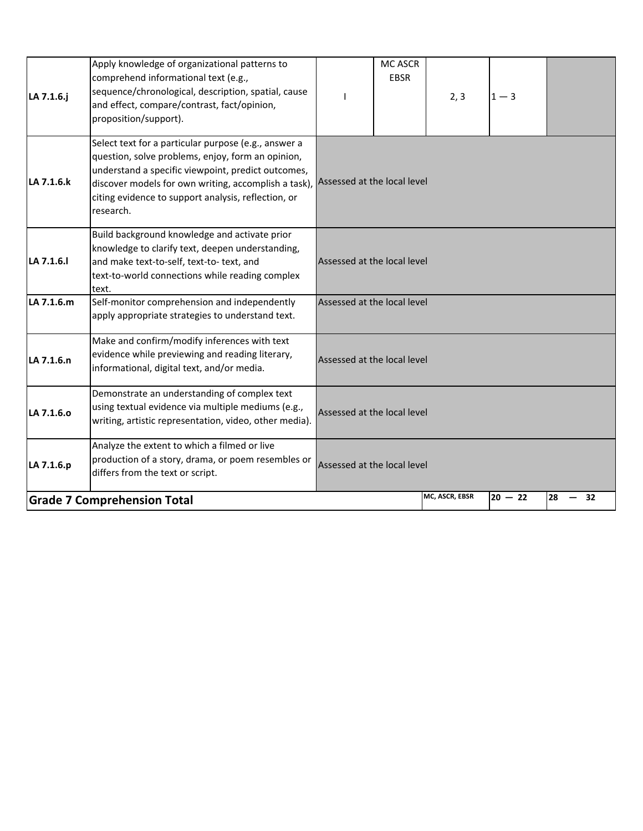| LA 7.1.6.j | Apply knowledge of organizational patterns to<br>comprehend informational text (e.g.,<br>sequence/chronological, description, spatial, cause<br>and effect, compare/contrast, fact/opinion,<br>proposition/support).                                                                                                    |                             | <b>MC ASCR</b><br><b>EBSR</b> | 2, 3           | $1 - 3$   |            |
|------------|-------------------------------------------------------------------------------------------------------------------------------------------------------------------------------------------------------------------------------------------------------------------------------------------------------------------------|-----------------------------|-------------------------------|----------------|-----------|------------|
| LA 7.1.6.k | Select text for a particular purpose (e.g., answer a<br>question, solve problems, enjoy, form an opinion,<br>understand a specific viewpoint, predict outcomes,<br>discover models for own writing, accomplish a task), Assessed at the local level<br>citing evidence to support analysis, reflection, or<br>research. |                             |                               |                |           |            |
| LA 7.1.6.  | Build background knowledge and activate prior<br>knowledge to clarify text, deepen understanding,<br>and make text-to-self, text-to- text, and<br>text-to-world connections while reading complex<br>text.                                                                                                              | Assessed at the local level |                               |                |           |            |
| LA 7.1.6.m | Self-monitor comprehension and independently<br>apply appropriate strategies to understand text.                                                                                                                                                                                                                        | Assessed at the local level |                               |                |           |            |
| LA 7.1.6.n | Make and confirm/modify inferences with text<br>evidence while previewing and reading literary,<br>informational, digital text, and/or media.                                                                                                                                                                           | Assessed at the local level |                               |                |           |            |
| LA 7.1.6.0 | Demonstrate an understanding of complex text<br>using textual evidence via multiple mediums (e.g.,<br>writing, artistic representation, video, other media).                                                                                                                                                            | Assessed at the local level |                               |                |           |            |
| LA 7.1.6.p | Analyze the extent to which a filmed or live<br>production of a story, drama, or poem resembles or<br>differs from the text or script.                                                                                                                                                                                  | Assessed at the local level |                               |                |           |            |
|            | <b>Grade 7 Comprehension Total</b>                                                                                                                                                                                                                                                                                      |                             |                               | MC, ASCR, EBSR | $20 - 22$ | 28<br>- 32 |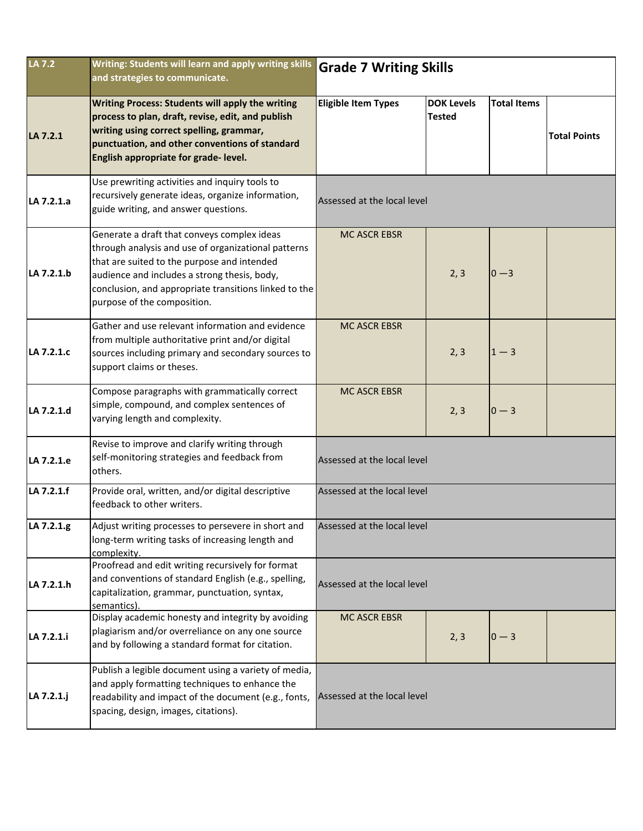| LA 7.2     | Writing: Students will learn and apply writing skills<br>and strategies to communicate.                                                                                                                                                                                                   | <b>Grade 7 Writing Skills</b> |                                    |                    |                     |  |  |
|------------|-------------------------------------------------------------------------------------------------------------------------------------------------------------------------------------------------------------------------------------------------------------------------------------------|-------------------------------|------------------------------------|--------------------|---------------------|--|--|
| LA 7.2.1   | <b>Writing Process: Students will apply the writing</b><br>process to plan, draft, revise, edit, and publish<br>writing using correct spelling, grammar,<br>punctuation, and other conventions of standard<br>English appropriate for grade-level.                                        | <b>Eligible Item Types</b>    | <b>DOK Levels</b><br><b>Tested</b> | <b>Total Items</b> | <b>Total Points</b> |  |  |
| LA 7.2.1.a | Use prewriting activities and inquiry tools to<br>recursively generate ideas, organize information,<br>guide writing, and answer questions.                                                                                                                                               | Assessed at the local level   |                                    |                    |                     |  |  |
| LA 7.2.1.b | Generate a draft that conveys complex ideas<br>through analysis and use of organizational patterns<br>that are suited to the purpose and intended<br>audience and includes a strong thesis, body,<br>conclusion, and appropriate transitions linked to the<br>purpose of the composition. | <b>MC ASCR EBSR</b>           | 2, 3                               | $0 - 3$            |                     |  |  |
| LA 7.2.1.c | Gather and use relevant information and evidence<br>from multiple authoritative print and/or digital<br>sources including primary and secondary sources to<br>support claims or theses.                                                                                                   | <b>MC ASCR EBSR</b>           | 2, 3                               | $1 - 3$            |                     |  |  |
| LA 7.2.1.d | Compose paragraphs with grammatically correct<br>simple, compound, and complex sentences of<br>varying length and complexity.                                                                                                                                                             | <b>MC ASCR EBSR</b>           | 2, 3                               | $0 - 3$            |                     |  |  |
| LA 7.2.1.e | Revise to improve and clarify writing through<br>self-monitoring strategies and feedback from<br>others.                                                                                                                                                                                  | Assessed at the local level   |                                    |                    |                     |  |  |
| LA 7.2.1.f | Provide oral, written, and/or digital descriptive<br>feedback to other writers.                                                                                                                                                                                                           | Assessed at the local level   |                                    |                    |                     |  |  |
| LA 7.2.1.g | Adjust writing processes to persevere in short and<br>long-term writing tasks of increasing length and<br>complexity.                                                                                                                                                                     | Assessed at the local level   |                                    |                    |                     |  |  |
| LA 7.2.1.h | Proofread and edit writing recursively for format<br>and conventions of standard English (e.g., spelling,<br>capitalization, grammar, punctuation, syntax,<br>semantics).                                                                                                                 | Assessed at the local level   |                                    |                    |                     |  |  |
| LA 7.2.1.i | Display academic honesty and integrity by avoiding<br>plagiarism and/or overreliance on any one source<br>and by following a standard format for citation.                                                                                                                                | <b>MC ASCR EBSR</b>           | 2, 3                               | $0 - 3$            |                     |  |  |
| LA 7.2.1.j | Publish a legible document using a variety of media,<br>and apply formatting techniques to enhance the<br>readability and impact of the document (e.g., fonts,<br>spacing, design, images, citations).                                                                                    | Assessed at the local level   |                                    |                    |                     |  |  |